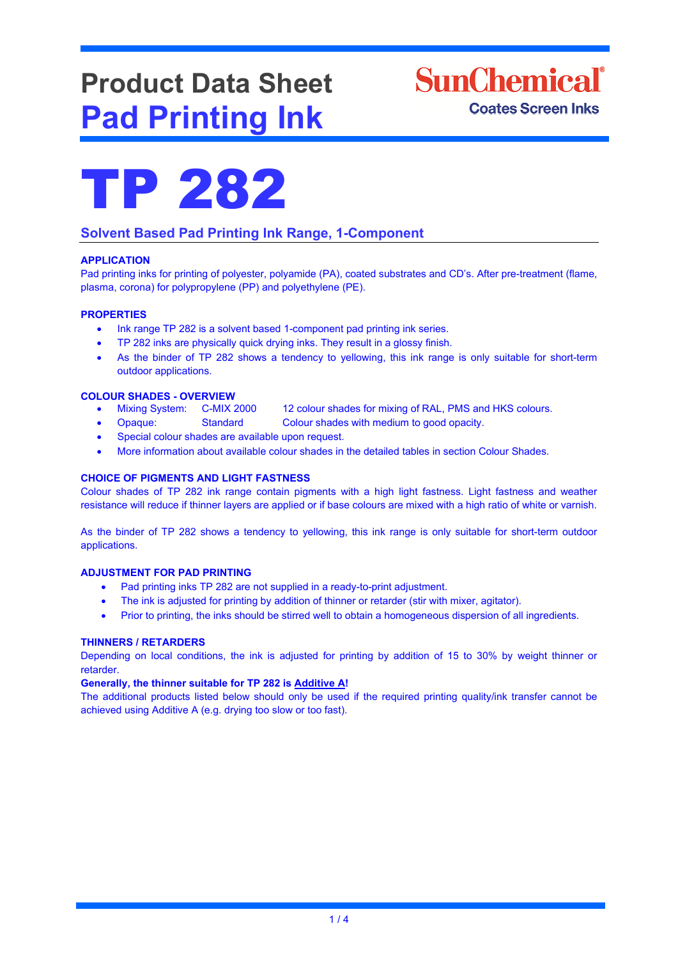# **Product Data Sheet Pad Printing Ink**





# **Solvent Based Pad Printing Ink Range, 1-Component**

### **APPLICATION**

Pad printing inks for printing of polyester, polyamide (PA), coated substrates and CD's. After pre-treatment (flame, plasma, corona) for polypropylene (PP) and polyethylene (PE).

#### **PROPERTIES**

- Ink range TP 282 is a solvent based 1-component pad printing ink series.
- TP 282 inks are physically quick drying inks. They result in a glossy finish.
- As the binder of TP 282 shows a tendency to yellowing, this ink range is only suitable for short-term outdoor applications.

#### **COLOUR SHADES - OVERVIEW**

- Mixing System: C-MIX 2000 12 colour shades for mixing of RAL, PMS and HKS colours.
- Opaque: Standard Colour shades with medium to good opacity.
	- Special colour shades are available upon request.
	- More information about available colour shades in the detailed tables in section Colour Shades.

#### **CHOICE OF PIGMENTS AND LIGHT FASTNESS**

Colour shades of TP 282 ink range contain pigments with a high light fastness. Light fastness and weather resistance will reduce if thinner layers are applied or if base colours are mixed with a high ratio of white or varnish.

As the binder of TP 282 shows a tendency to yellowing, this ink range is only suitable for short-term outdoor applications.

#### **ADJUSTMENT FOR PAD PRINTING**

- Pad printing inks TP 282 are not supplied in a ready-to-print adjustment.
- The ink is adjusted for printing by addition of thinner or retarder (stir with mixer, agitator).
- Prior to printing, the inks should be stirred well to obtain a homogeneous dispersion of all ingredients.

#### **THINNERS / RETARDERS**

Depending on local conditions, the ink is adjusted for printing by addition of 15 to 30% by weight thinner or retarder.

#### **Generally, the thinner suitable for TP 282 is Additive A!**

The additional products listed below should only be used if the required printing quality/ink transfer cannot be achieved using Additive A (e.g. drying too slow or too fast).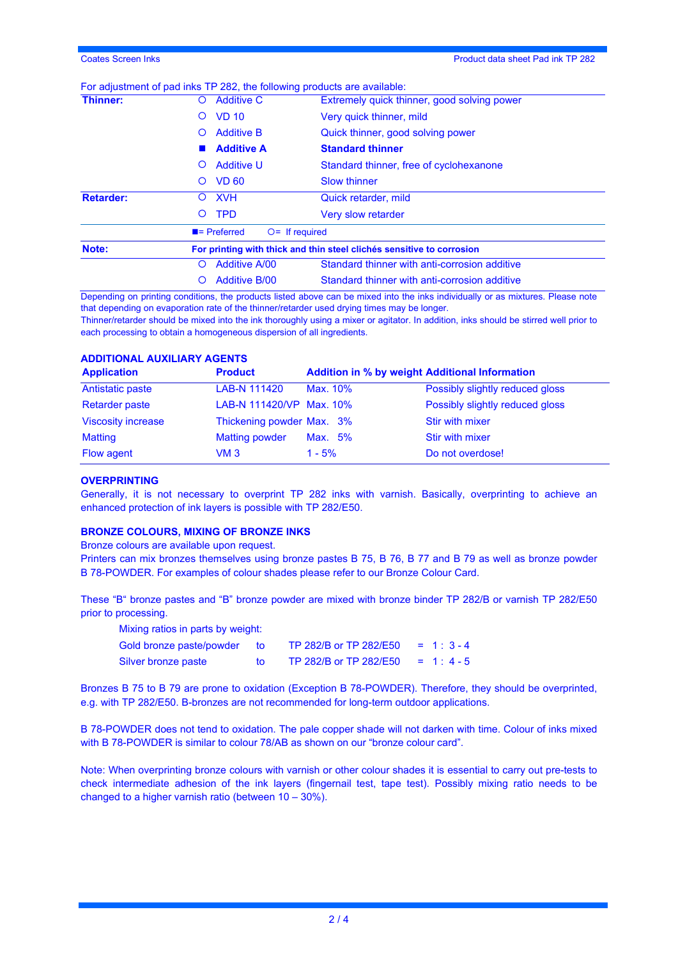### For adjustment of pad inks TP 282, the following products are available:

| Thinner:         | <b>Additive C</b><br>Ő                                                | Extremely quick thinner, good solving power   |  |  |
|------------------|-----------------------------------------------------------------------|-----------------------------------------------|--|--|
|                  | <b>VD 10</b><br>Ő                                                     | Very quick thinner, mild                      |  |  |
|                  | <b>Additive B</b><br>Ő                                                | Quick thinner, good solving power             |  |  |
|                  | <b>Additive A</b>                                                     | <b>Standard thinner</b>                       |  |  |
|                  | <b>Additive U</b><br>$\circ$                                          | Standard thinner, free of cyclohexanone       |  |  |
|                  | <b>VD 60</b><br>$\circ$                                               | <b>Slow thinner</b>                           |  |  |
| <b>Retarder:</b> | <b>XVH</b><br>O                                                       | Quick retarder, mild                          |  |  |
|                  | <b>TPD</b><br>$\circ$                                                 | Very slow retarder                            |  |  |
|                  | $\blacksquare$ Preferred                                              | $O=$ If required                              |  |  |
| Note:            | For printing with thick and thin steel clichés sensitive to corrosion |                                               |  |  |
|                  | <b>Additive A/00</b><br>O                                             | Standard thinner with anti-corrosion additive |  |  |
|                  | <b>Additive B/00</b>                                                  | Standard thinner with anti-corrosion additive |  |  |

Depending on printing conditions, the products listed above can be mixed into the inks individually or as mixtures. Please note that depending on evaporation rate of the thinner/retarder used drying times may be longer.

Thinner/retarder should be mixed into the ink thoroughly using a mixer or agitator. In addition, inks should be stirred well prior to each processing to obtain a homogeneous dispersion of all ingredients.

## **ADDITIONAL AUXILIARY AGENTS**

| <b>Application</b>        | <b>Product</b>            | <b>Addition in % by weight Additional Information</b> |                                 |
|---------------------------|---------------------------|-------------------------------------------------------|---------------------------------|
| Antistatic paste          | LAB-N 111420              | Max. 10%                                              | Possibly slightly reduced gloss |
| <b>Retarder paste</b>     | LAB-N 111420/VP Max. 10%  |                                                       | Possibly slightly reduced gloss |
| <b>Viscosity increase</b> | Thickening powder Max. 3% |                                                       | Stir with mixer                 |
| <b>Matting</b>            | <b>Matting powder</b>     | Max. 5%                                               | Stir with mixer                 |
| Flow agent                | VM 3                      | $1 - 5%$                                              | Do not overdose!                |

#### **OVERPRINTING**

Generally, it is not necessary to overprint TP 282 inks with varnish. Basically, overprinting to achieve an enhanced protection of ink layers is possible with TP 282/E50.

#### **BRONZE COLOURS, MIXING OF BRONZE INKS**

Bronze colours are available upon request.

Printers can mix bronzes themselves using bronze pastes B 75, B 76, B 77 and B 79 as well as bronze powder B 78-POWDER. For examples of colour shades please refer to our Bronze Colour Card.

These "B" bronze pastes and "B" bronze powder are mixed with bronze binder TP 282/B or varnish TP 282/E50 prior to processing.

| Mixing ratios in parts by weight: |     |                        |            |
|-----------------------------------|-----|------------------------|------------|
| Gold bronze paste/powder to       |     | TP 282/B or TP 282/E50 | $= 1:3-4$  |
| Silver bronze paste               | tΩ. | TP 282/B or TP 282/E50 | $= 1: 4-5$ |

Bronzes B 75 to B 79 are prone to oxidation (Exception B 78-POWDER). Therefore, they should be overprinted, e.g. with TP 282/E50. B-bronzes are not recommended for long-term outdoor applications.

B 78-POWDER does not tend to oxidation. The pale copper shade will not darken with time. Colour of inks mixed with B 78-POWDER is similar to colour 78/AB as shown on our "bronze colour card".

Note: When overprinting bronze colours with varnish or other colour shades it is essential to carry out pre-tests to check intermediate adhesion of the ink layers (fingernail test, tape test). Possibly mixing ratio needs to be changed to a higher varnish ratio (between 10 – 30%).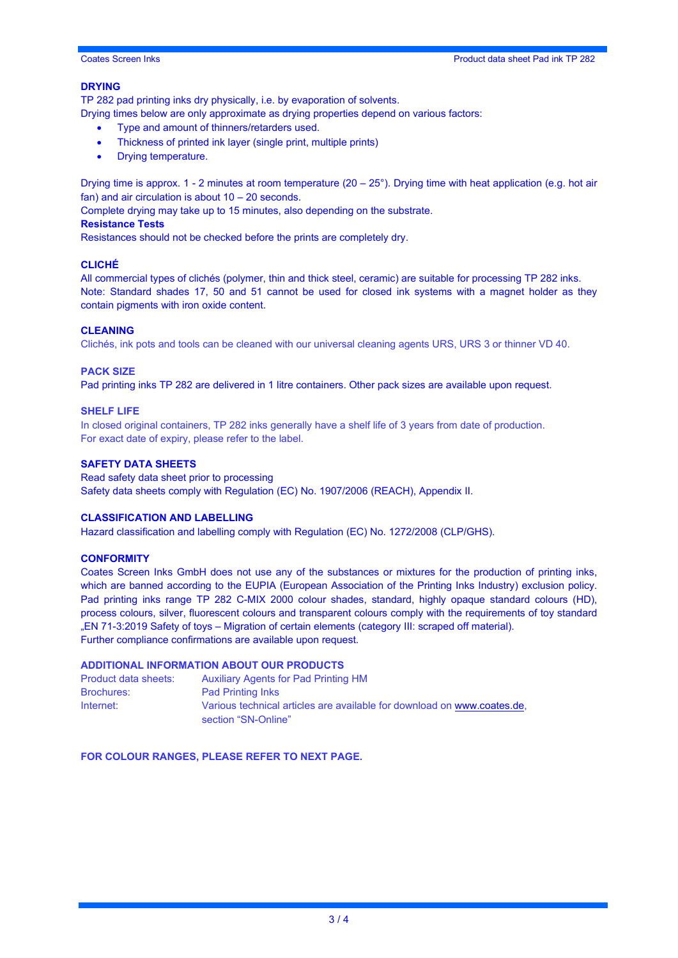#### **DRYING**

TP 282 pad printing inks dry physically, i.e. by evaporation of solvents.

Drying times below are only approximate as drying properties depend on various factors:

- Type and amount of thinners/retarders used.
- Thickness of printed ink layer (single print, multiple prints)
- Drying temperature.

Drying time is approx. 1 - 2 minutes at room temperature (20 – 25°). Drying time with heat application (e.g. hot air fan) and air circulation is about 10 – 20 seconds.

Complete drying may take up to 15 minutes, also depending on the substrate.

#### **Resistance Tests**

Resistances should not be checked before the prints are completely dry.

#### **CLICHÉ**

All commercial types of clichés (polymer, thin and thick steel, ceramic) are suitable for processing TP 282 inks. Note: Standard shades 17, 50 and 51 cannot be used for closed ink systems with a magnet holder as they contain pigments with iron oxide content.

#### **CLEANING**

Clichés, ink pots and tools can be cleaned with our universal cleaning agents URS, URS 3 or thinner VD 40.

#### **PACK SIZE**

Pad printing inks TP 282 are delivered in 1 litre containers. Other pack sizes are available upon request.

#### **SHELF LIFE**

In closed original containers, TP 282 inks generally have a shelf life of 3 years from date of production. For exact date of expiry, please refer to the label.

#### **SAFETY DATA SHEETS**

Read safety data sheet prior to processing Safety data sheets comply with Regulation (EC) No. 1907/2006 (REACH), Appendix II.

#### **CLASSIFICATION AND LABELLING**

Hazard classification and labelling comply with Regulation (EC) No. 1272/2008 (CLP/GHS).

#### **CONFORMITY**

Coates Screen Inks GmbH does not use any of the substances or mixtures for the production of printing inks, which are banned according to the EUPIA (European Association of the Printing Inks Industry) exclusion policy. Pad printing inks range TP 282 C-MIX 2000 colour shades, standard, highly opaque standard colours (HD), process colours, silver, fluorescent colours and transparent colours comply with the requirements of toy standard "EN 71-3:2019 Safety of toys – Migration of certain elements (category III: scraped off material). Further compliance confirmations are available upon request.

#### **ADDITIONAL INFORMATION ABOUT OUR PRODUCTS**

| Product data sheets: | <b>Auxiliary Agents for Pad Printing HM</b>                                                    |
|----------------------|------------------------------------------------------------------------------------------------|
| <b>Brochures:</b>    | <b>Pad Printing Inks</b>                                                                       |
| Internet:            | Various technical articles are available for download on www.coates.de.<br>section "SN-Online" |

**FOR COLOUR RANGES, PLEASE REFER TO NEXT PAGE.**